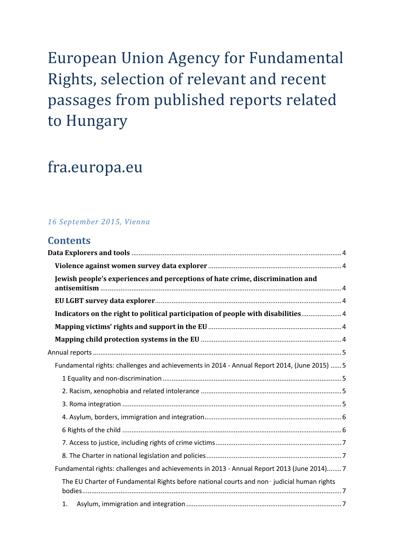# European Union Agency for Fundamental Rights, selection of relevant and recent passages from published reports related to Hungary

# fra.europa.eu

# *16 September 2015, Vienna*

# **Contents**

| Jewish people's experiences and perceptions of hate crime, discrimination and                |
|----------------------------------------------------------------------------------------------|
|                                                                                              |
| Indicators on the right to political participation of people with disabilities 4             |
|                                                                                              |
|                                                                                              |
|                                                                                              |
| Fundamental rights: challenges and achievements in 2014 - Annual Report 2014, (June 2015)  5 |
|                                                                                              |
|                                                                                              |
|                                                                                              |
|                                                                                              |
|                                                                                              |
|                                                                                              |
|                                                                                              |
| Fundamental rights: challenges and achievements in 2013 - Annual Report 2013 (June 2014) 7   |
| The EU Charter of Fundamental Rights before national courts and non-judicial human rights    |
|                                                                                              |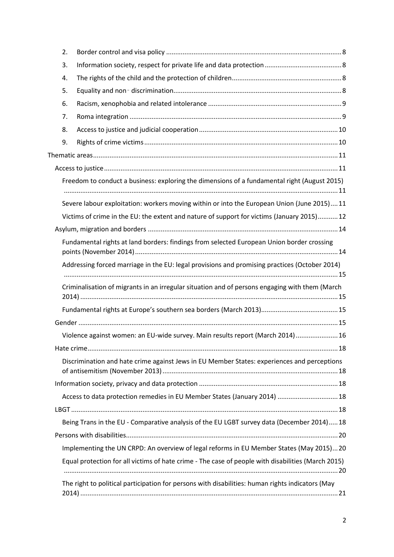| 2. |                                                                                                    |
|----|----------------------------------------------------------------------------------------------------|
| 3. |                                                                                                    |
| 4. |                                                                                                    |
| 5. |                                                                                                    |
| 6. |                                                                                                    |
| 7. |                                                                                                    |
| 8. |                                                                                                    |
| 9. |                                                                                                    |
|    |                                                                                                    |
|    |                                                                                                    |
|    | Freedom to conduct a business: exploring the dimensions of a fundamental right (August 2015)       |
|    | Severe labour exploitation: workers moving within or into the European Union (June 2015)11         |
|    | Victims of crime in the EU: the extent and nature of support for victims (January 2015) 12         |
|    |                                                                                                    |
|    | Fundamental rights at land borders: findings from selected European Union border crossing          |
|    | Addressing forced marriage in the EU: legal provisions and promising practices (October 2014)      |
|    | Criminalisation of migrants in an irregular situation and of persons engaging with them (March     |
|    |                                                                                                    |
|    |                                                                                                    |
|    | Violence against women: an EU-wide survey. Main results report (March 2014)  16                    |
|    |                                                                                                    |
|    | Discrimination and hate crime against Jews in EU Member States: experiences and perceptions        |
|    |                                                                                                    |
|    | Access to data protection remedies in EU Member States (January 2014)  18                          |
|    |                                                                                                    |
|    | Being Trans in the EU - Comparative analysis of the EU LGBT survey data (December 2014)18          |
|    |                                                                                                    |
|    | Implementing the UN CRPD: An overview of legal reforms in EU Member States (May 2015)20            |
|    | Equal protection for all victims of hate crime - The case of people with disabilities (March 2015) |
|    | The right to political participation for persons with disabilities: human rights indicators (May   |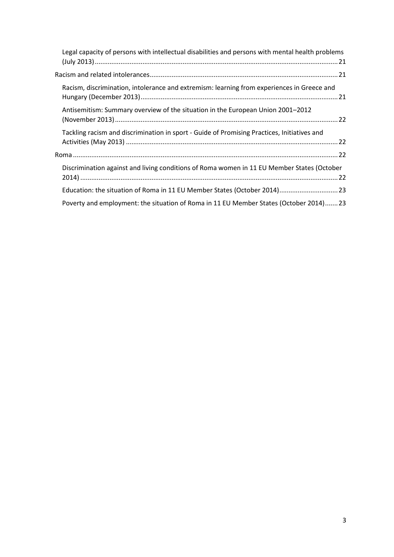| Legal capacity of persons with intellectual disabilities and persons with mental health problems |  |
|--------------------------------------------------------------------------------------------------|--|
|                                                                                                  |  |
| Racism, discrimination, intolerance and extremism: learning from experiences in Greece and       |  |
| Antisemitism: Summary overview of the situation in the European Union 2001–2012                  |  |
| Tackling racism and discrimination in sport - Guide of Promising Practices, Initiatives and      |  |
|                                                                                                  |  |
| Discrimination against and living conditions of Roma women in 11 EU Member States (October       |  |
| Education: the situation of Roma in 11 EU Member States (October 2014) 23                        |  |
| Poverty and employment: the situation of Roma in 11 EU Member States (October 2014)23            |  |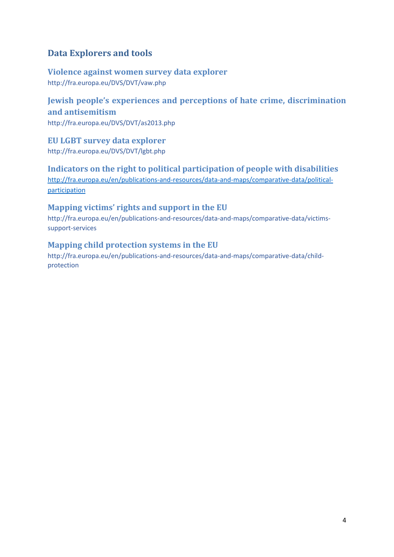# <span id="page-3-0"></span>**Data Explorers and tools**

# <span id="page-3-1"></span>**Violence against women survey data explorer** <http://fra.europa.eu/DVS/DVT/vaw.php>

<span id="page-3-2"></span>**Jewish people's experiences and perceptions of hate crime, discrimination and antisemitism** <http://fra.europa.eu/DVS/DVT/as2013.php>

<span id="page-3-3"></span>**EU LGBT survey data explorer** <http://fra.europa.eu/DVS/DVT/lgbt.php>

<span id="page-3-4"></span>**Indicators on the right to political participation of people with disabilities** [http://fra.europa.eu/en/publications-and-resources/data-and-maps/comparative-data/political](http://fra.europa.eu/en/publications-and-resources/data-and-maps/comparative-data/political-participation)[participation](http://fra.europa.eu/en/publications-and-resources/data-and-maps/comparative-data/political-participation)

# <span id="page-3-5"></span>**Mapping victims' rights and support in the EU**

[http://fra.europa.eu/en/publications-and-resources/data-and-maps/comparative-data/victims](http://fra.europa.eu/en/publications-and-resources/data-and-maps/comparative-data/victims-support-services)[support-services](http://fra.europa.eu/en/publications-and-resources/data-and-maps/comparative-data/victims-support-services)

# <span id="page-3-6"></span>**Mapping child protection systems in the EU**

[http://fra.europa.eu/en/publications-and-resources/data-and-maps/comparative-data/child](http://fra.europa.eu/en/publications-and-resources/data-and-maps/comparative-data/child-protection)[protection](http://fra.europa.eu/en/publications-and-resources/data-and-maps/comparative-data/child-protection)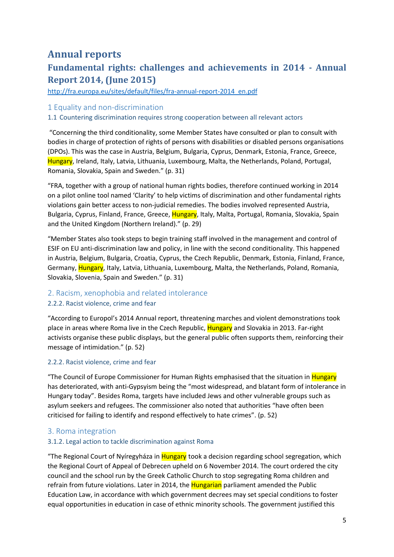# <span id="page-4-0"></span>**Annual reports**

# <span id="page-4-1"></span>**Fundamental rights: challenges and achievements in 2014 - Annual Report 2014, (June 2015)**

[http://fra.europa.eu/sites/default/files/fra-annual-report-2014\\_en.pdf](http://fra.europa.eu/sites/default/files/fra-annual-report-2014_en.pdf)

## <span id="page-4-2"></span>1 Equality and non-discrimination

## 1.1 Countering discrimination requires strong cooperation between all relevant actors

"Concerning the third conditionality, some Member States have consulted or plan to consult with bodies in charge of protection of rights of persons with disabilities or disabled persons organisations (DPOs). This was the case in Austria, Belgium, Bulgaria, Cyprus, Denmark, Estonia, France, Greece, Hungary, Ireland, Italy, Latvia, Lithuania, Luxembourg, Malta, the Netherlands, Poland, Portugal, Romania, Slovakia, Spain and Sweden." (p. 31)

"FRA, together with a group of national human rights bodies, therefore continued working in 2014 on a pilot online tool named 'Clarity' to help victims of discrimination and other fundamental rights violations gain better access to non-judicial remedies. The bodies involved represented Austria, Bulgaria, Cyprus, Finland, France, Greece, Hungary, Italy, Malta, Portugal, Romania, Slovakia, Spain and the United Kingdom (Northern Ireland)." (p. 29)

"Member States also took steps to begin training staff involved in the management and control of ESIF on EU anti-discrimination law and policy, in line with the second conditionality. This happened in Austria, Belgium, Bulgaria, Croatia, Cyprus, the Czech Republic, Denmark, Estonia, Finland, France, Germany, Hungary, Italy, Latvia, Lithuania, Luxembourg, Malta, the Netherlands, Poland, Romania, Slovakia, Slovenia, Spain and Sweden." (p. 31)

## <span id="page-4-3"></span>2. Racism, xenophobia and related intolerance

#### 2.2.2. Racist violence, crime and fear

"According to Europol's 2014 Annual report, threatening marches and violent demonstrations took place in areas where Roma live in the Czech Republic, Hungary and Slovakia in 2013. Far-right activists organise these public displays, but the general public often supports them, reinforcing their message of intimidation." (p. 52)

#### 2.2.2. Racist violence, crime and fear

"The Council of Europe Commissioner for Human Rights emphasised that the situation in Hungary has deteriorated, with anti-Gypsyism being the "most widespread, and blatant form of intolerance in Hungary today". Besides Roma, targets have included Jews and other vulnerable groups such as asylum seekers and refugees. The commissioner also noted that authorities "have often been criticised for failing to identify and respond effectively to hate crimes". (p. 52)

## <span id="page-4-4"></span>3. Roma integration

#### 3.1.2. Legal action to tackle discrimination against Roma

"The Regional Court of Nyíregyháza in Hungary took a decision regarding school segregation, which the Regional Court of Appeal of Debrecen upheld on 6 November 2014. The court ordered the city council and the school run by the Greek Catholic Church to stop segregating Roma children and refrain from future violations. Later in 2014, the Hungarian parliament amended the Public Education Law, in accordance with which government decrees may set special conditions to foster equal opportunities in education in case of ethnic minority schools. The government justified this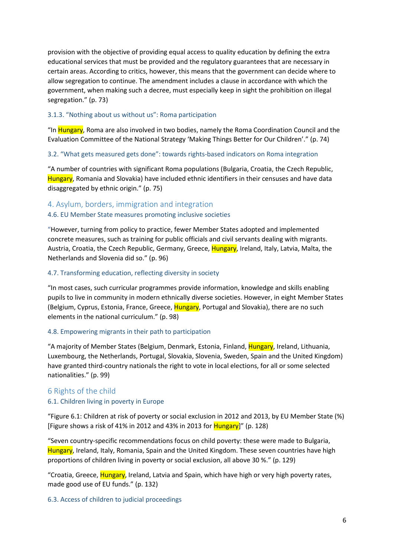provision with the objective of providing equal access to quality education by defining the extra educational services that must be provided and the regulatory guarantees that are necessary in certain areas. According to critics, however, this means that the government can decide where to allow segregation to continue. The amendment includes a clause in accordance with which the government, when making such a decree, must especially keep in sight the prohibition on illegal segregation." (p. 73)

#### 3.1.3. "Nothing about us without us": Roma participation

"In Hungary, Roma are also involved in two bodies, namely the Roma Coordination Council and the Evaluation Committee of the National Strategy 'Making Things Better for Our Children'." (p. 74)

#### 3.2. "What gets measured gets done": towards rights-based indicators on Roma integration

"A number of countries with significant Roma populations (Bulgaria, Croatia, the Czech Republic, Hungary, Romania and Slovakia) have included ethnic identifiers in their censuses and have data disaggregated by ethnic origin." (p. 75)

## <span id="page-5-0"></span>4. Asylum, borders, immigration and integration

#### 4.6. EU Member State measures promoting inclusive societies

"However, turning from policy to practice, fewer Member States adopted and implemented concrete measures, such as training for public officials and civil servants dealing with migrants. Austria, Croatia, the Czech Republic, Germany, Greece, Hungary, Ireland, Italy, Latvia, Malta, the Netherlands and Slovenia did so." (p. 96)

## 4.7. Transforming education, reflecting diversity in society

"In most cases, such curricular programmes provide information, knowledge and skills enabling pupils to live in community in modern ethnically diverse societies. However, in eight Member States (Belgium, Cyprus, Estonia, France, Greece, Hungary, Portugal and Slovakia), there are no such elements in the national curriculum." (p. 98)

#### 4.8. Empowering migrants in their path to participation

"A majority of Member States (Belgium, Denmark, Estonia, Finland, Hungary, Ireland, Lithuania, Luxembourg, the Netherlands, Portugal, Slovakia, Slovenia, Sweden, Spain and the United Kingdom) have granted third-country nationals the right to vote in local elections, for all or some selected nationalities." (p. 99)

## <span id="page-5-1"></span>6 Rights of the child

## 6.1. Children living in poverty in Europe

"Figure 6.1: Children at risk of poverty or social exclusion in 2012 and 2013, by EU Member State (%) [Figure shows a risk of 41% in 2012 and 43% in 2013 for  $\frac{\text{Hungary}}{\text{m}}$  (p. 128)

"Seven country-specific recommendations focus on child poverty: these were made to Bulgaria, Hungary, Ireland, Italy, Romania, Spain and the United Kingdom. These seven countries have high proportions of children living in poverty or social exclusion, all above 30 %." (p. 129)

"Croatia, Greece, Hungary, Ireland, Latvia and Spain, which have high or very high poverty rates, made good use of EU funds." (p. 132)

#### 6.3. Access of children to judicial proceedings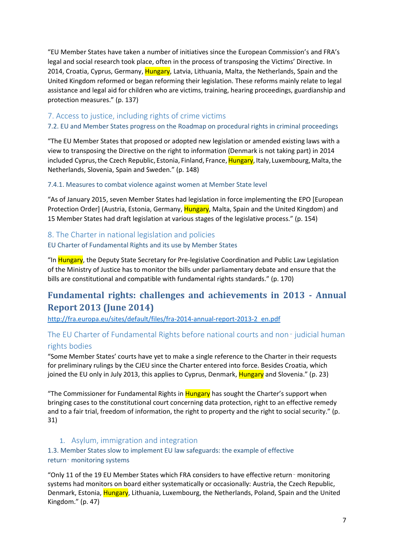"EU Member States have taken a number of initiatives since the European Commission's and FRA's legal and social research took place, often in the process of transposing the Victims' Directive. In 2014, Croatia, Cyprus, Germany, Hungary, Latvia, Lithuania, Malta, the Netherlands, Spain and the United Kingdom reformed or began reforming their legislation. These reforms mainly relate to legal assistance and legal aid for children who are victims, training, hearing proceedings, guardianship and protection measures." (p. 137)

# <span id="page-6-0"></span>7. Access to justice, including rights of crime victims

## 7.2. EU and Member States progress on the Roadmap on procedural rights in criminal proceedings

"The EU Member States that proposed or adopted new legislation or amended existing laws with a view to transposing the Directive on the right to information (Denmark is not taking part) in 2014 included Cyprus, the Czech Republic, Estonia, Finland, France, Hungary, Italy, Luxembourg, Malta, the Netherlands, Slovenia, Spain and Sweden." (p. 148)

## 7.4.1. Measures to combat violence against women at Member State level

"As of January 2015, seven Member States had legislation in force implementing the EPO [European Protection Order] (Austria, Estonia, Germany, Hungary, Malta, Spain and the United Kingdom) and 15 Member States had draft legislation at various stages of the legislative process." (p. 154)

# <span id="page-6-1"></span>8. The Charter in national legislation and policies EU Charter of Fundamental Rights and its use by Member States

"In Hungary, the Deputy State Secretary for Pre-legislative Coordination and Public Law Legislation of the Ministry of Justice has to monitor the bills under parliamentary debate and ensure that the bills are constitutional and compatible with fundamental rights standards." (p. 170)

# <span id="page-6-2"></span>**Fundamental rights: challenges and achievements in 2013 - Annual Report 2013 (June 2014)**

[http://fra.europa.eu/sites/default/files/fra-2014-annual-report-2013-2\\_en.pdf](http://fra.europa.eu/sites/default/files/fra-2014-annual-report-2013-2_en.pdf)

# <span id="page-6-3"></span>The EU Charter of Fundamental Rights before national courts and non - judicial human rights bodies

"Some Member States' courts have yet to make a single reference to the Charter in their requests for preliminary rulings by the CJEU since the Charter entered into force. Besides Croatia, which joined the EU only in July 2013, this applies to Cyprus, Denmark, **Hungary** and Slovenia." (p. 23)

"The Commissioner for Fundamental Rights in Hungary has sought the Charter's support when bringing cases to the constitutional court concerning data protection, right to an effective remedy and to a fair trial, freedom of information, the right to property and the right to social security." (p. 31)

## 1. Asylum, immigration and integration

# <span id="page-6-4"></span>1.3. Member States slow to implement EU law safeguards: the example of effective return-monitoring systems

"Only 11 of the 19 EU Member States which FRA considers to have effective return‑ monitoring systems had monitors on board either systematically or occasionally: Austria, the Czech Republic, Denmark, Estonia, Hungary, Lithuania, Luxembourg, the Netherlands, Poland, Spain and the United Kingdom." (p. 47)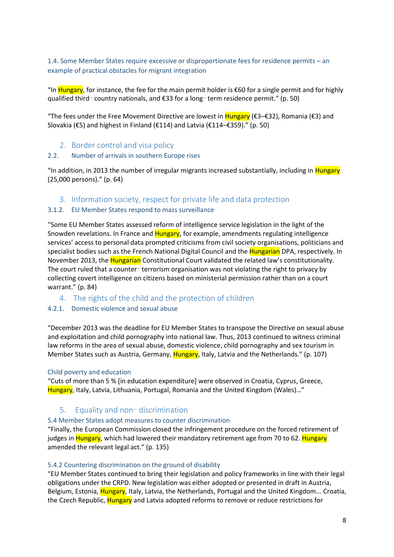1.4. Some Member States require excessive or disproportionate fees for residence permits – an example of practical obstacles for migrant integration

"In Hungary, for instance, the fee for the main permit holder is  $€60$  for a single permit and for highly qualified third‑ country nationals, and €33 for a long‑ term residence permit." (p. 50)

"The fees under the Free Movement Directive are lowest in Hungary (€3–€32), Romania (€3) and Slovakia (€5) and highest in Finland (€114) and Latvia (€114–€359)." (p. 50)

2. Border control and visa policy

#### <span id="page-7-0"></span>2.2. Number of arrivals in southern Europe rises

"In addition, in 2013 the number of irregular migrants increased substantially, including in Hungary (25,000 persons)." (p. 64)

<span id="page-7-1"></span>3. Information society, respect for private life and data protection

#### 3.1.2. EU Member States respond to mass surveillance

"Some EU Member States assessed reform of intelligence service legislation in the light of the Snowden revelations. In France and Hungary, for example, amendments regulating intelligence services' access to personal data prompted criticisms from civil society organisations, politicians and specialist bodies such as the French National Digital Council and the Hungarian DPA, respectively. In November 2013, the Hungarian Constitutional Court validated the related law's constitutionality. The court ruled that a counter-terrorism organisation was not violating the right to privacy by collecting covert intelligence on citizens based on ministerial permission rather than on a court warrant." (p. 84)

<span id="page-7-2"></span>4. The rights of the child and the protection of children

## 4.2.1. Domestic violence and sexual abuse

"December 2013 was the deadline for EU Member States to transpose the Directive on sexual abuse and exploitation and child pornography into national law. Thus, 2013 continued to witness criminal law reforms in the area of sexual abuse, domestic violence, child pornography and sex tourism in Member States such as Austria, Germany, Hungary, Italy, Latvia and the Netherlands." (p. 107)

#### Child poverty and education

"Cuts of more than 5 % [in education expenditure] were observed in Croatia, Cyprus, Greece, Hungary, Italy, Latvia, Lithuania, Portugal, Romania and the United Kingdom (Wales)..."

## <span id="page-7-3"></span>5. Equality and non‑ discrimination

#### 5.4 Member States adopt measures to counter discrimination

"Finally, the European Commission closed the infringement procedure on the forced retirement of judges in Hungary, which had lowered their mandatory retirement age from 70 to 62. Hungary amended the relevant legal act." (p. 135)

#### 5.4.2 Countering discrimination on the ground of disability

"EU Member States continued to bring their legislation and policy frameworks in line with their legal obligations under the CRPD. New legislation was either adopted or presented in draft in Austria, Belgium, Estonia, Hungary, Italy, Latvia, the Netherlands, Portugal and the United Kingdom... Croatia, the Czech Republic, **Hungary** and Latvia adopted reforms to remove or reduce restrictions for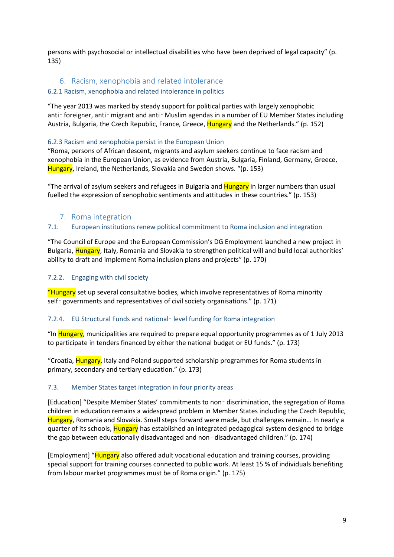persons with psychosocial or intellectual disabilities who have been deprived of legal capacity" (p. 135)

# <span id="page-8-0"></span>6. Racism, xenophobia and related intolerance

## 6.2.1 Racism, xenophobia and related intolerance in politics

"The year 2013 was marked by steady support for political parties with largely xenophobic anti- foreigner, anti-migrant and anti-Muslim agendas in a number of EU Member States including Austria, Bulgaria, the Czech Republic, France, Greece, Hungary and the Netherlands." (p. 152)

### 6.2.3 Racism and xenophobia persist in the European Union

"Roma, persons of African descent, migrants and asylum seekers continue to face racism and xenophobia in the European Union, as evidence from Austria, Bulgaria, Finland, Germany, Greece, Hungary, Ireland, the Netherlands, Slovakia and Sweden shows. "(p. 153)

"The arrival of asylum seekers and refugees in Bulgaria and Hungary in larger numbers than usual fuelled the expression of xenophobic sentiments and attitudes in these countries." (p. 153)

## 7. Roma integration

#### <span id="page-8-1"></span>7.1. European institutions renew political commitment to Roma inclusion and integration

"The Council of Europe and the European Commission's DG Employment launched a new project in Bulgaria, Hungary, Italy, Romania and Slovakia to strengthen political will and build local authorities' ability to draft and implement Roma inclusion plans and projects" (p. 170)

#### 7.2.2. Engaging with civil society

"Hungary set up several consultative bodies, which involve representatives of Roma minority self-governments and representatives of civil society organisations." (p. 171)

#### 7.2.4. EU Structural Funds and national‑ level funding for Roma integration

"In Hungary, municipalities are required to prepare equal opportunity programmes as of 1 July 2013 to participate in tenders financed by either the national budget or EU funds." (p. 173)

"Croatia, Hungary, Italy and Poland supported scholarship programmes for Roma students in primary, secondary and tertiary education." (p. 173)

#### 7.3. Member States target integration in four priority areas

[Education] "Despite Member States' commitments to non‑ discrimination, the segregation of Roma children in education remains a widespread problem in Member States including the Czech Republic, Hungary, Romania and Slovakia. Small steps forward were made, but challenges remain... In nearly a quarter of its schools, **Hungary** has established an integrated pedagogical system designed to bridge the gap between educationally disadvantaged and non‑ disadvantaged children." (p. 174)

[Employment] "Hungary also offered adult vocational education and training courses, providing special support for training courses connected to public work. At least 15 % of individuals benefiting from labour market programmes must be of Roma origin." (p. 175)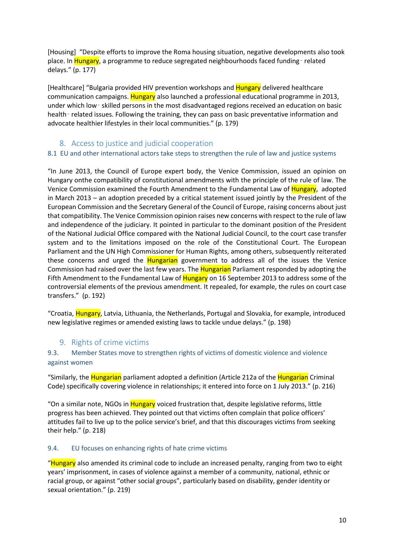[Housing] "Despite efforts to improve the Roma housing situation, negative developments also took place. In Hungary, a programme to reduce segregated neighbourhoods faced funding-related delays." (p. 177)

[Healthcare] "Bulgaria provided HIV prevention workshops and Hungary delivered healthcare communication campaigns. Hungary also launched a professional educational programme in 2013, under which low‑ skilled persons in the most disadvantaged regions received an education on basic health-related issues. Following the training, they can pass on basic preventative information and advocate healthier lifestyles in their local communities." (p. 179)

# 8. Access to justice and judicial cooperation

## <span id="page-9-0"></span>8.1 EU and other international actors take steps to strengthen the rule of law and justice systems

"In June 2013, the Council of Europe expert body, the Venice Commission, issued an opinion on Hungary onthe compatibility of constitutional amendments with the principle of the rule of law. The Venice Commission examined the Fourth Amendment to the Fundamental Law of Hungary, adopted in March 2013 – an adoption preceded by a critical statement issued jointly by the President of the European Commission and the Secretary General of the Council of Europe, raising concerns about just that compatibility. The Venice Commission opinion raises new concerns with respect to the rule of law and independence of the judiciary. It pointed in particular to the dominant position of the President of the National Judicial Office compared with the National Judicial Council, to the court case transfer system and to the limitations imposed on the role of the Constitutional Court. The European Parliament and the UN High Commissioner for Human Rights, among others, subsequently reiterated these concerns and urged the **Hungarian** government to address all of the issues the Venice Commission had raised over the last few years. The Hungarian Parliament responded by adopting the Fifth Amendment to the Fundamental Law of Hungary on 16 September 2013 to address some of the controversial elements of the previous amendment. It repealed, for example, the rules on court case transfers." (p. 192)

"Croatia, Hungary, Latvia, Lithuania, the Netherlands, Portugal and Slovakia, for example, introduced new legislative regimes or amended existing laws to tackle undue delays." (p. 198)

## 9. Rights of crime victims

## <span id="page-9-1"></span>9.3. Member States move to strengthen rights of victims of domestic violence and violence against women

"Similarly, the Hungarian parliament adopted a definition (Article 212a of the Hungarian Criminal Code) specifically covering violence in relationships; it entered into force on 1 July 2013." (p. 216)

"On a similar note, NGOs in Hungary voiced frustration that, despite legislative reforms, little progress has been achieved. They pointed out that victims often complain that police officers' attitudes fail to live up to the police service's brief, and that this discourages victims from seeking their help." (p. 218)

#### 9.4. EU focuses on enhancing rights of hate crime victims

"Hungary also amended its criminal code to include an increased penalty, ranging from two to eight years' imprisonment, in cases of violence against a member of a community, national, ethnic or racial group, or against "other social groups", particularly based on disability, gender identity or sexual orientation." (p. 219)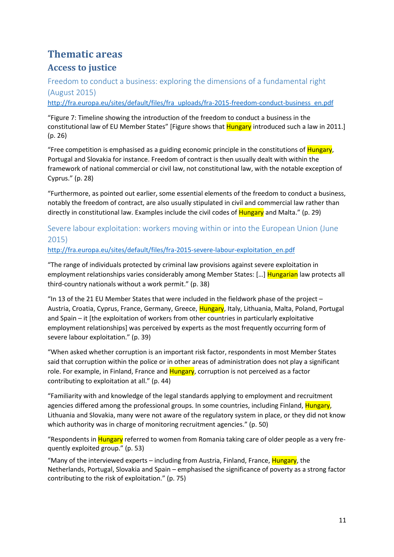# <span id="page-10-0"></span>**Thematic areas**

# <span id="page-10-1"></span>**Access to justice**

<span id="page-10-2"></span>Freedom to conduct a business: exploring the dimensions of a fundamental right (August 2015) [http://fra.europa.eu/sites/default/files/fra\\_uploads/fra-2015-freedom-conduct-business\\_en.pdf](http://fra.europa.eu/sites/default/files/fra_uploads/fra-2015-freedom-conduct-business_en.pdf)

"Figure 7: Timeline showing the introduction of the freedom to conduct a business in the constitutional law of EU Member States" [Figure shows that Hungary introduced such a law in 2011.] (p. 26)

"Free competition is emphasised as a guiding economic principle in the constitutions of **Hungary**, Portugal and Slovakia for instance. Freedom of contract is then usually dealt with within the framework of national commercial or civil law, not constitutional law, with the notable exception of Cyprus." (p. 28)

"Furthermore, as pointed out earlier, some essential elements of the freedom to conduct a business, notably the freedom of contract, are also usually stipulated in civil and commercial law rather than directly in constitutional law. Examples include the civil codes of **Hungary** and Malta." (p. 29)

# <span id="page-10-3"></span>Severe labour exploitation: workers moving within or into the European Union (June 2015)

# [http://fra.europa.eu/sites/default/files/fra-2015-severe-labour-exploitation\\_en.pdf](http://fra.europa.eu/sites/default/files/fra-2015-severe-labour-exploitation_en.pdf)

"The range of individuals protected by criminal law provisions against severe exploitation in employment relationships varies considerably among Member States: [...] **Hungarian** law protects all third-country nationals without a work permit." (p. 38)

"In 13 of the 21 EU Member States that were included in the fieldwork phase of the project – Austria, Croatia, Cyprus, France, Germany, Greece, Hungary, Italy, Lithuania, Malta, Poland, Portugal and Spain – it [the exploitation of workers from other countries in particularly exploitative employment relationships] was perceived by experts as the most frequently occurring form of severe labour exploitation." (p. 39)

"When asked whether corruption is an important risk factor, respondents in most Member States said that corruption within the police or in other areas of administration does not play a significant role. For example, in Finland, France and Hungary, corruption is not perceived as a factor contributing to exploitation at all." (p. 44)

"Familiarity with and knowledge of the legal standards applying to employment and recruitment agencies differed among the professional groups. In some countries, including Finland, Hungary, Lithuania and Slovakia, many were not aware of the regulatory system in place, or they did not know which authority was in charge of monitoring recruitment agencies." (p. 50)

"Respondents in Hungary referred to women from Romania taking care of older people as a very frequently exploited group." (p. 53)

"Many of the interviewed experts – including from Austria, Finland, France, Hungary, the Netherlands, Portugal, Slovakia and Spain – emphasised the significance of poverty as a strong factor contributing to the risk of exploitation." (p. 75)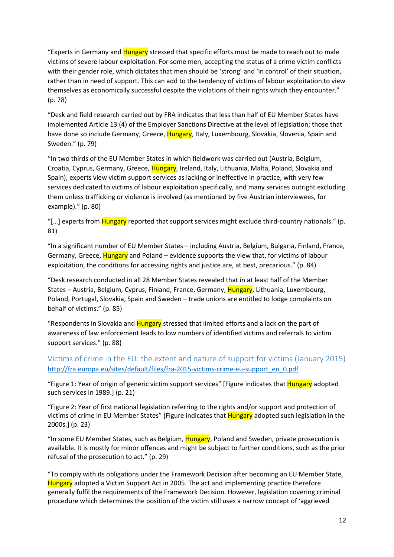"Experts in Germany and Hungary stressed that specific efforts must be made to reach out to male victims of severe labour exploitation. For some men, accepting the status of a crime victim conflicts with their gender role, which dictates that men should be 'strong' and 'in control' of their situation, rather than in need of support. This can add to the tendency of victims of labour exploitation to view themselves as economically successful despite the violations of their rights which they encounter." (p. 78)

"Desk and field research carried out by FRA indicates that less than half of EU Member States have implemented Article 13 (4) of the Employer Sanctions Directive at the level of legislation; those that have done so include Germany, Greece, Hungary, Italy, Luxembourg, Slovakia, Slovenia, Spain and Sweden." (p. 79)

"In two thirds of the EU Member States in which fieldwork was carried out (Austria, Belgium, Croatia, Cyprus, Germany, Greece, Hungary, Ireland, Italy, Lithuania, Malta, Poland, Slovakia and Spain), experts view victim support services as lacking or ineffective in practice, with very few services dedicated to victims of labour exploitation specifically, and many services outright excluding them unless trafficking or violence is involved (as mentioned by five Austrian interviewees, for example)." (p. 80)

"[...] experts from **Hungary** reported that support services might exclude third-country nationals." (p. 81)

"In a significant number of EU Member States – including Austria, Belgium, Bulgaria, Finland, France, Germany, Greece, Hungary and Poland – evidence supports the view that, for victims of labour exploitation, the conditions for accessing rights and justice are, at best, precarious." (p. 84)

"Desk research conducted in all 28 Member States revealed that in at least half of the Member States – Austria, Belgium, Cyprus, Finland, France, Germany, Hungary, Lithuania, Luxembourg, Poland, Portugal, Slovakia, Spain and Sweden – trade unions are entitled to lodge complaints on behalf of victims." (p. 85)

"Respondents in Slovakia and Hungary stressed that limited efforts and a lack on the part of awareness of law enforcement leads to low numbers of identified victims and referrals to victim support services." (p. 88)

# <span id="page-11-0"></span>Victims of crime in the EU: the extent and nature of support for victims (January 2015) [http://fra.europa.eu/sites/default/files/fra-2015-victims-crime-eu-support\\_en\\_0.pdf](http://fra.europa.eu/sites/default/files/fra-2015-victims-crime-eu-support_en_0.pdf)

"Figure 1: Year of origin of generic victim support services" [Figure indicates that **Hungary** adopted such services in 1989.] (p. 21)

"Figure 2: Year of first national legislation referring to the rights and/or support and protection of victims of crime in EU Member States" [Figure indicates that **Hungary** adopted such legislation in the 2000s.] (p. 23)

"In some EU Member States, such as Belgium, Hungary, Poland and Sweden, private prosecution is available. It is mostly for minor offences and might be subject to further conditions, such as the prior refusal of the prosecution to act." (p. 29)

"To comply with its obligations under the Framework Decision after becoming an EU Member State, Hungary adopted a Victim Support Act in 2005. The act and implementing practice therefore generally fulfil the requirements of the Framework Decision. However, legislation covering criminal procedure which determines the position of the victim still uses a narrow concept of 'aggrieved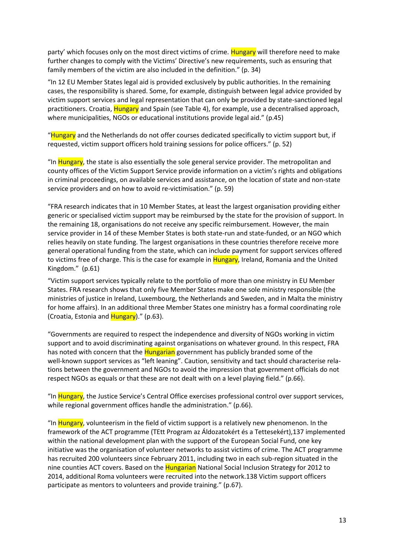party' which focuses only on the most direct victims of crime. Hungary will therefore need to make further changes to comply with the Victims' Directive's new requirements, such as ensuring that family members of the victim are also included in the definition." (p. 34)

"In 12 EU Member States legal aid is provided exclusively by public authorities. In the remaining cases, the responsibility is shared. Some, for example, distinguish between legal advice provided by victim support services and legal representation that can only be provided by state-sanctioned legal practitioners. Croatia, Hungary and Spain (see Table 4), for example, use a decentralised approach, where municipalities, NGOs or educational institutions provide legal aid." (p.45)

"Hungary and the Netherlands do not offer courses dedicated specifically to victim support but, if requested, victim support officers hold training sessions for police officers." (p. 52)

"In Hungary, the state is also essentially the sole general service provider. The metropolitan and county offices of the Victim Support Service provide information on a victim's rights and obligations in criminal proceedings, on available services and assistance, on the location of state and non-state service providers and on how to avoid re-victimisation." (p. 59)

"FRA research indicates that in 10 Member States, at least the largest organisation providing either generic or specialised victim support may be reimbursed by the state for the provision of support. In the remaining 18, organisations do not receive any specific reimbursement. However, the main service provider in 14 of these Member States is both state-run and state-funded, or an NGO which relies heavily on state funding. The largest organisations in these countries therefore receive more general operational funding from the state, which can include payment for support services offered to victims free of charge. This is the case for example in Hungary, Ireland, Romania and the United Kingdom." (p.61)

"Victim support services typically relate to the portfolio of more than one ministry in EU Member States. FRA research shows that only five Member States make one sole ministry responsible (the ministries of justice in Ireland, Luxembourg, the Netherlands and Sweden, and in Malta the ministry for home affairs). In an additional three Member States one ministry has a formal coordinating role (Croatia, Estonia and Hungary)." (p.63).

"Governments are required to respect the independence and diversity of NGOs working in victim support and to avoid discriminating against organisations on whatever ground. In this respect, FRA has noted with concern that the **Hungarian** government has publicly branded some of the well-known support services as "left leaning". Caution, sensitivity and tact should characterise relations between the government and NGOs to avoid the impression that government officials do not respect NGOs as equals or that these are not dealt with on a level playing field." (p.66).

"In Hungary, the Justice Service's Central Office exercises professional control over support services, while regional government offices handle the administration." (p.66).

"In Hungary, volunteerism in the field of victim support is a relatively new phenomenon. In the framework of the ACT programme (TEtt Program az Áldozatokért és a Tettesekért),137 implemented within the national development plan with the support of the European Social Fund, one key initiative was the organisation of volunteer networks to assist victims of crime. The ACT programme has recruited 200 volunteers since February 2011, including two in each sub-region situated in the nine counties ACT covers. Based on the Hungarian National Social Inclusion Strategy for 2012 to 2014, additional Roma volunteers were recruited into the network.138 Victim support officers participate as mentors to volunteers and provide training." (p.67).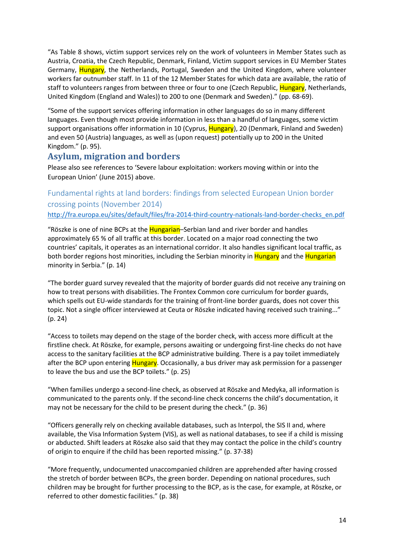"As Table 8 shows, victim support services rely on the work of volunteers in Member States such as Austria, Croatia, the Czech Republic, Denmark, Finland, Victim support services in EU Member States Germany, Hungary, the Netherlands, Portugal, Sweden and the United Kingdom, where volunteer workers far outnumber staff. In 11 of the 12 Member States for which data are available, the ratio of staff to volunteers ranges from between three or four to one (Czech Republic, Hungary, Netherlands, United Kingdom (England and Wales)) to 200 to one (Denmark and Sweden)." (pp. 68-69).

"Some of the support services offering information in other languages do so in many different languages. Even though most provide information in less than a handful of languages, some victim support organisations offer information in 10 (Cyprus, Hungary), 20 (Denmark, Finland and Sweden) and even 50 (Austria) languages, as well as (upon request) potentially up to 200 in the United Kingdom." (p. 95).

# <span id="page-13-0"></span>**Asylum, migration and borders**

Please also see references to 'Severe labour exploitation: workers moving within or into the European Union' (June 2015) above.

# <span id="page-13-1"></span>Fundamental rights at land borders: findings from selected European Union border crossing points (November 2014)

[http://fra.europa.eu/sites/default/files/fra-2014-third-country-nationals-land-border-checks\\_en.pdf](http://fra.europa.eu/sites/default/files/fra-2014-third-country-nationals-land-border-checks_en.pdf)

"Röszke is one of nine BCPs at the Hungarian–Serbian land and river border and handles approximately 65 % of all traffic at this border. Located on a major road connecting the two countries' capitals, it operates as an international corridor. It also handles significant local traffic, as both border regions host minorities, including the Serbian minority in Hungary and the Hungarian minority in Serbia." (p. 14)

"The border guard survey revealed that the majority of border guards did not receive any training on how to treat persons with disabilities. The Frontex Common core curriculum for border guards, which spells out EU-wide standards for the training of front-line border guards, does not cover this topic. Not a single officer interviewed at Ceuta or Röszke indicated having received such training..." (p. 24)

"Access to toilets may depend on the stage of the border check, with access more difficult at the firstline check. At Röszke, for example, persons awaiting or undergoing first-line checks do not have access to the sanitary facilities at the BCP administrative building. There is a pay toilet immediately after the BCP upon entering **Hungary**. Occasionally, a bus driver may ask permission for a passenger to leave the bus and use the BCP toilets." (p. 25)

"When families undergo a second-line check, as observed at Röszke and Medyka, all information is communicated to the parents only. If the second-line check concerns the child's documentation, it may not be necessary for the child to be present during the check." (p. 36)

"Officers generally rely on checking available databases, such as Interpol, the SIS II and, where available, the Visa Information System (VIS), as well as national databases, to see if a child is missing or abducted. Shift leaders at Röszke also said that they may contact the police in the child's country of origin to enquire if the child has been reported missing." (p. 37-38)

"More frequently, undocumented unaccompanied children are apprehended after having crossed the stretch of border between BCPs, the green border. Depending on national procedures, such children may be brought for further processing to the BCP, as is the case, for example, at Röszke, or referred to other domestic facilities." (p. 38)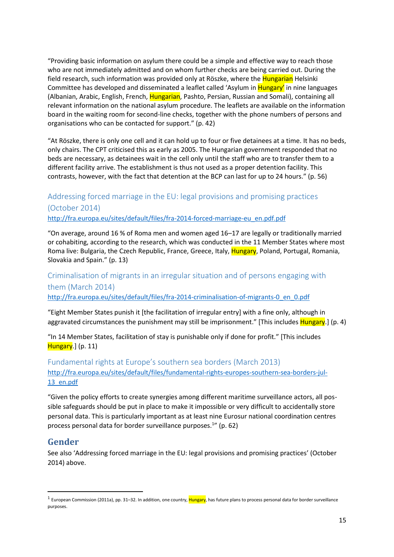"Providing basic information on asylum there could be a simple and effective way to reach those who are not immediately admitted and on whom further checks are being carried out. During the field research, such information was provided only at Röszke, where the **Hungarian** Helsinki Committee has developed and disseminated a leaflet called 'Asylum in Hungary' in nine languages (Albanian, Arabic, English, French, Hungarian, Pashto, Persian, Russian and Somali), containing all relevant information on the national asylum procedure. The leaflets are available on the information board in the waiting room for second-line checks, together with the phone numbers of persons and organisations who can be contacted for support." (p. 42)

"At Röszke, there is only one cell and it can hold up to four or five detainees at a time. It has no beds, only chairs. The CPT criticised this as early as 2005. The Hungarian government responded that no beds are necessary, as detainees wait in the cell only until the staff who are to transfer them to a different facility arrive. The establishment is thus not used as a proper detention facility. This contrasts, however, with the fact that detention at the BCP can last for up to 24 hours." (p. 56)

# <span id="page-14-0"></span>Addressing forced marriage in the EU: legal provisions and promising practices (October 2014)

[http://fra.europa.eu/sites/default/files/fra-2014-forced-marriage-eu\\_en.pdf.pdf](http://fra.europa.eu/sites/default/files/fra-2014-forced-marriage-eu_en.pdf.pdf)

"On average, around 16 % of Roma men and women aged 16–17 are legally or traditionally married or cohabiting, according to the research, which was conducted in the 11 Member States where most Roma live: Bulgaria, the Czech Republic, France, Greece, Italy, Hungary, Poland, Portugal, Romania, Slovakia and Spain." (p. 13)

# <span id="page-14-1"></span>Criminalisation of migrants in an irregular situation and of persons engaging with them (March 2014)

[http://fra.europa.eu/sites/default/files/fra-2014-criminalisation-of-migrants-0\\_en\\_0.pdf](http://fra.europa.eu/sites/default/files/fra-2014-criminalisation-of-migrants-0_en_0.pdf)

"Eight Member States punish it [the facilitation of irregular entry] with a fine only, although in aggravated circumstances the punishment may still be imprisonment." [This includes Hungary.] (p. 4)

"In 14 Member States, facilitation of stay is punishable only if done for profit." [This includes Hungary.] (p. 11)

<span id="page-14-2"></span>Fundamental rights at Europe's southern sea borders (March 2013) [http://fra.europa.eu/sites/default/files/fundamental-rights-europes-southern-sea-borders-jul-](http://fra.europa.eu/sites/default/files/fundamental-rights-europes-southern-sea-borders-jul-13_en.pdf)[13\\_en.pdf](http://fra.europa.eu/sites/default/files/fundamental-rights-europes-southern-sea-borders-jul-13_en.pdf)

"Given the policy efforts to create synergies among different maritime surveillance actors, all possible safeguards should be put in place to make it impossible or very difficult to accidentally store personal data. This is particularly important as at least nine Eurosur national coordination centres process personal data for border surveillance purposes.<sup>1</sup>" (p. 62)

# <span id="page-14-3"></span>**Gender**

1

See also 'Addressing forced marriage in the EU: legal provisions and promising practices' (October 2014) above.

<sup>&</sup>lt;sup>1</sup> European Commission (2011a), pp. 31–32. In addition, one country, <mark>Hungary</mark>, has future plans to process personal data for border surveillance purposes.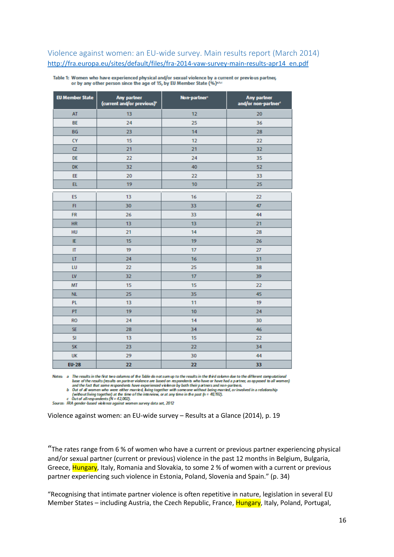# <span id="page-15-0"></span>Violence against women: an EU-wide survey. Main results report (March 2014) [http://fra.europa.eu/sites/default/files/fra-2014-vaw-survey-main-results-apr14\\_en.pdf](http://fra.europa.eu/sites/default/files/fra-2014-vaw-survey-main-results-apr14_en.pdf)

| <b>EU Member State</b> | Any partner<br>(current and/or previous) <sup>b</sup> | Non-partner <sup>c</sup> | Any partner<br>and/or non-partner® |
|------------------------|-------------------------------------------------------|--------------------------|------------------------------------|
| AT                     | 13                                                    | 12                       | 20                                 |
| <b>BE</b>              | 24                                                    | 25                       | 36                                 |
| <b>BG</b>              | 23                                                    | 14                       | 28                                 |
| <b>CY</b>              | 15                                                    | 12                       | 22                                 |
| $\alpha$               | 21                                                    | 21                       | 32                                 |
| <b>DE</b>              | 22                                                    | 24                       | 35                                 |
| DK                     | 32                                                    | 40                       | 52                                 |
| EE                     | 20                                                    | 22                       | 33                                 |
| EL                     | 19                                                    | 10                       | 25                                 |
| <b>ES</b>              | 13                                                    | 16                       | 22                                 |
| F1                     | 30                                                    | 33                       | 47                                 |
| <b>FR</b>              | 26                                                    | 33                       | 44                                 |
| <b>HR</b>              | 13                                                    | 13                       | 21                                 |
| <b>HU</b>              | 21                                                    | 14                       | 28                                 |
| IE                     | 15                                                    | 19                       | 26                                 |
| $\mathbf{u}$           | 19                                                    | 17                       | 27                                 |
| LT                     | 24                                                    | 16                       | 31                                 |
| LU                     | 22                                                    | 25                       | 38                                 |
| LV                     | 32                                                    | 17                       | 39                                 |
| MT                     | 15                                                    | 15                       | 22                                 |
| <b>NL</b>              | 25                                                    | 35                       | 45                                 |
| <b>PL</b>              | 13                                                    | 11                       | 19                                 |
| PT                     | 19                                                    | 10                       | 24                                 |
| <b>RO</b>              | 24                                                    | 14                       | 30                                 |
| <b>SE</b>              | 28                                                    | 34                       | 46                                 |
| <b>SI</b>              | 13                                                    | 15                       | 22                                 |
| <b>SK</b>              | 23                                                    | 22                       | 34                                 |
| <b>UK</b>              | 29                                                    | 30                       | 44                                 |
| <b>EU-28</b>           | 22                                                    | 22                       | 33                                 |

Table 1: Women who have experienced physical and/or sexual violence by a current or previous partner, or by any other person since the age of 15, by EU Member State (%)\*\*\*

Notes: a The results in the first two columns of the Table do not sum up to the results in the third column due to the different computational base of the results (results on partner violence are based on respondents who have or have had a partner, as opposed to all women)

and the fact that some respondents have experienced violence by both their partners and non-partners.<br>b Out of all women who were either married, fving together with some one without being married, or involved in a relatio

 $\mu$  of the utility and the time of the interview, or at any time in the past (n = 40,192).<br>
c Out of all respondents (N = 42,002).<br>
Source: FRA gender-based violence against women survey data set, 2012

Violence against women: an EU-wide survey – Results at a Glance (2014), p. 19

"The rates range from 6 % of women who have a current or previous partner experiencing physical and/or sexual partner (current or previous) violence in the past 12 months in Belgium, Bulgaria, Greece, Hungary, Italy, Romania and Slovakia, to some 2 % of women with a current or previous partner experiencing such violence in Estonia, Poland, Slovenia and Spain." (p. 34)

"Recognising that intimate partner violence is often repetitive in nature, legislation in several EU Member States – including Austria, the Czech Republic, France, Hungary, Italy, Poland, Portugal,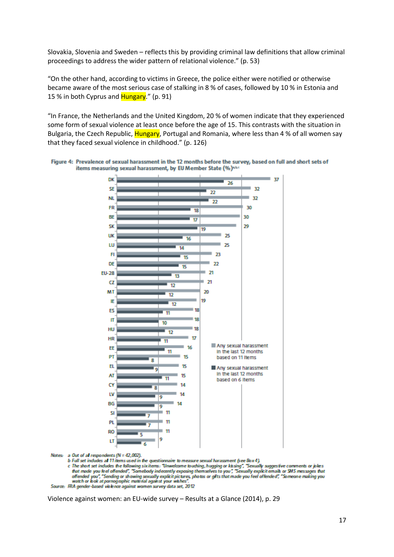Slovakia, Slovenia and Sweden – reflects this by providing criminal law definitions that allow criminal proceedings to address the wider pattern of relational violence." (p. 53)

"On the other hand, according to victims in Greece, the police either were notified or otherwise became aware of the most serious case of stalking in 8 % of cases, followed by 10 % in Estonia and 15 % in both Cyprus and **Hungary**." (p. 91)

"In France, the Netherlands and the United Kingdom, 20 % of women indicate that they experienced some form of sexual violence at least once before the age of 15. This contrasts with the situation in Bulgaria, the Czech Republic, **Hungary**, Portugal and Romania, where less than 4 % of all women say that they faced sexual violence in childhood." (p. 126)





**Notes**a Out of all respondents (N = 42,002).

b Full set indudes al 11 items used in the questionnaire to measure sexual harassment (see Box 4).

c The short set indudes the following six items: "Unwelcome touching, hugging or kissing", "Sexually suggestive comments or jokes that made you feel offended", "Somebody indecently exposing themselves to you", "Sexually explicit emails or SMS messages that offended you", "Sending or showing sexually explicit pictures, photos or gifts that made you feel offended", "Someone making you watch or bok at pornographic material against your wishes".<br>Source: RRA gender-based violence

Violence against women: an EU-wide survey – Results at a Glance (2014), p. 29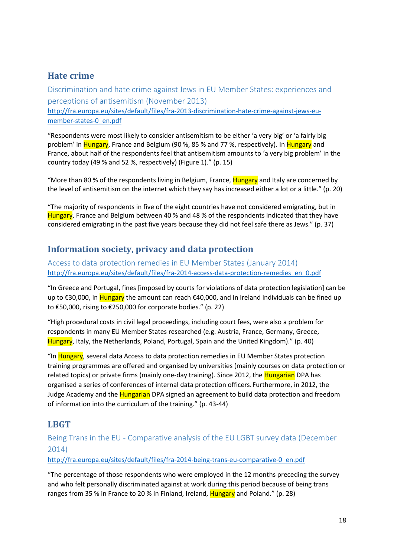# <span id="page-17-0"></span>**Hate crime**

<span id="page-17-1"></span>Discrimination and hate crime against Jews in EU Member States: experiences and perceptions of antisemitism (November 2013) [http://fra.europa.eu/sites/default/files/fra-2013-discrimination-hate-crime-against-jews-eu](http://fra.europa.eu/sites/default/files/fra-2013-discrimination-hate-crime-against-jews-eu-member-states-0_en.pdf)[member-states-0\\_en.pdf](http://fra.europa.eu/sites/default/files/fra-2013-discrimination-hate-crime-against-jews-eu-member-states-0_en.pdf)

"Respondents were most likely to consider antisemitism to be either 'a very big' or 'a fairly big problem' in Hungary, France and Belgium (90 %, 85 % and 77 %, respectively). In Hungary and France, about half of the respondents feel that antisemitism amounts to 'a very big problem' in the country today (49 % and 52 %, respectively) (Figure 1)." (p. 15)

"More than 80 % of the respondents living in Belgium, France, Hungary and Italy are concerned by the level of antisemitism on the internet which they say has increased either a lot or a little." (p. 20)

"The majority of respondents in five of the eight countries have not considered emigrating, but in Hungary, France and Belgium between 40 % and 48 % of the respondents indicated that they have considered emigrating in the past five years because they did not feel safe there as Jews." (p. 37)

# <span id="page-17-2"></span>**Information society, privacy and data protection**

<span id="page-17-3"></span>Access to data protection remedies in EU Member States (January 2014) [http://fra.europa.eu/sites/default/files/fra-2014-access-data-protection-remedies\\_en\\_0.pdf](http://fra.europa.eu/sites/default/files/fra-2014-access-data-protection-remedies_en_0.pdf)

"In Greece and Portugal, fines [imposed by courts for violations of data protection legislation] can be up to €30,000, in Hungary the amount can reach €40,000, and in Ireland individuals can be fined up to €50,000, rising to €250,000 for corporate bodies." (p. 22)

"High procedural costs in civil legal proceedings, including court fees, were also a problem for respondents in many EU Member States researched (e.g. Austria, France, Germany, Greece, Hungary, Italy, the Netherlands, Poland, Portugal, Spain and the United Kingdom)." (p. 40)

"In Hungary, several data Access to data protection remedies in EU Member States protection training programmes are offered and organised by universities (mainly courses on data protection or related topics) or private firms (mainly one-day training). Since 2012, the **Hungarian** DPA has organised a series of conferences of internal data protection officers.Furthermore, in 2012, the Judge Academy and the **Hungarian** DPA signed an agreement to build data protection and freedom of information into the curriculum of the training." (p. 43-44)

# <span id="page-17-4"></span>**LBGT**

# <span id="page-17-5"></span>Being Trans in the EU - Comparative analysis of the EU LGBT survey data (December 2014)

## [http://fra.europa.eu/sites/default/files/fra-2014-being-trans-eu-comparative-0\\_en.pdf](http://fra.europa.eu/sites/default/files/fra-2014-being-trans-eu-comparative-0_en.pdf)

"The percentage of those respondents who were employed in the 12 months preceding the survey and who felt personally discriminated against at work during this period because of being trans ranges from 35 % in France to 20 % in Finland, Ireland, Hungary and Poland." (p. 28)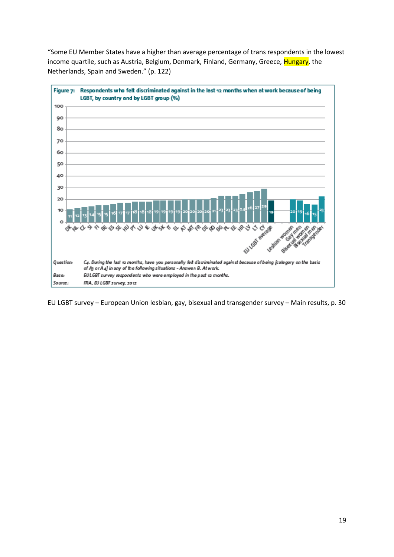"Some EU Member States have a higher than average percentage of trans respondents in the lowest income quartile, such as Austria, Belgium, Denmark, Finland, Germany, Greece, Hungary, the Netherlands, Spain and Sweden." (p. 122)



EU LGBT survey – European Union lesbian, gay, bisexual and transgender survey – Main results, p. 30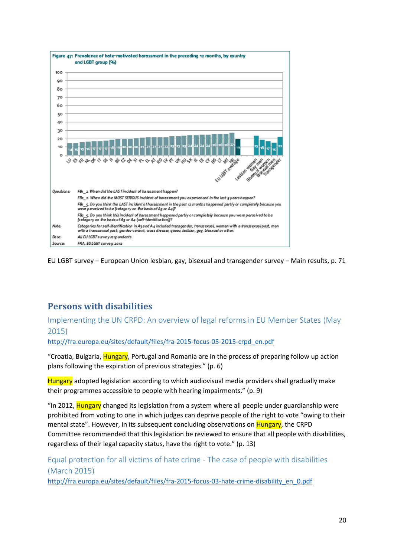

EU LGBT survey – European Union lesbian, gay, bisexual and transgender survey – Main results, p. 71

# <span id="page-19-0"></span>**Persons with disabilities**

# <span id="page-19-1"></span>Implementing the UN CRPD: An overview of legal reforms in EU Member States (May 2015)

[http://fra.europa.eu/sites/default/files/fra-2015-focus-05-2015-crpd\\_en.pdf](http://fra.europa.eu/sites/default/files/fra-2015-focus-05-2015-crpd_en.pdf)

"Croatia, Bulgaria, Hungary, Portugal and Romania are in the process of preparing follow up action plans following the expiration of previous strategies." (p. 6)

Hungary adopted legislation according to which audiovisual media providers shall gradually make their programmes accessible to people with hearing impairments." (p. 9)

"In 2012, Hungary changed its legislation from a system where all people under guardianship were prohibited from voting to one in which judges can deprive people of the right to vote "owing to their mental state". However, in its subsequent concluding observations on **Hungary**, the CRPD Committee recommended that this legislation be reviewed to ensure that all people with disabilities, regardless of their legal capacity status, have the right to vote." (p. 13)

<span id="page-19-2"></span>Equal protection for all victims of hate crime - The case of people with disabilities (March 2015)

[http://fra.europa.eu/sites/default/files/fra-2015-focus-03-hate-crime-disability\\_en\\_0.pdf](http://fra.europa.eu/sites/default/files/fra-2015-focus-03-hate-crime-disability_en_0.pdf)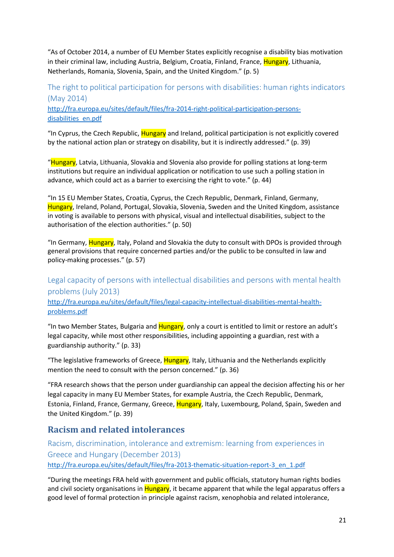"As of October 2014, a number of EU Member States explicitly recognise a disability bias motivation in their criminal law, including Austria, Belgium, Croatia, Finland, France, Hungary, Lithuania, Netherlands, Romania, Slovenia, Spain, and the United Kingdom." (p. 5)

<span id="page-20-0"></span>The right to political participation for persons with disabilities: human rights indicators (May 2014) [http://fra.europa.eu/sites/default/files/fra-2014-right-political-participation-persons](http://fra.europa.eu/sites/default/files/fra-2014-right-political-participation-persons-disabilities_en.pdf)[disabilities\\_en.pdf](http://fra.europa.eu/sites/default/files/fra-2014-right-political-participation-persons-disabilities_en.pdf)

"In Cyprus, the Czech Republic, Hungary and Ireland, political participation is not explicitly covered by the national action plan or strategy on disability, but it is indirectly addressed." (p. 39)

"Hungary, Latvia, Lithuania, Slovakia and Slovenia also provide for polling stations at long-term institutions but require an individual application or notification to use such a polling station in advance, which could act as a barrier to exercising the right to vote." (p. 44)

"In 15 EU Member States, Croatia, Cyprus, the Czech Republic, Denmark, Finland, Germany, Hungary, Ireland, Poland, Portugal, Slovakia, Slovenia, Sweden and the United Kingdom, assistance in voting is available to persons with physical, visual and intellectual disabilities, subject to the authorisation of the election authorities." (p. 50)

"In Germany, **Hungary**, Italy, Poland and Slovakia the duty to consult with DPOs is provided through general provisions that require concerned parties and/or the public to be consulted in law and policy-making processes." (p. 57)

<span id="page-20-1"></span>Legal capacity of persons with intellectual disabilities and persons with mental health problems (July 2013) [http://fra.europa.eu/sites/default/files/legal-capacity-intellectual-disabilities-mental-health](http://fra.europa.eu/sites/default/files/legal-capacity-intellectual-disabilities-mental-health-problems.pdf)[problems.pdf](http://fra.europa.eu/sites/default/files/legal-capacity-intellectual-disabilities-mental-health-problems.pdf)

"In two Member States, Bulgaria and Hungary, only a court is entitled to limit or restore an adult's legal capacity, while most other responsibilities, including appointing a guardian, rest with a guardianship authority." (p. 33)

"The legislative frameworks of Greece, Hungary, Italy, Lithuania and the Netherlands explicitly mention the need to consult with the person concerned." (p. 36)

"FRA research shows that the person under guardianship can appeal the decision affecting his or her legal capacity in many EU Member States, for example Austria, the Czech Republic, Denmark, Estonia, Finland, France, Germany, Greece, Hungary, Italy, Luxembourg, Poland, Spain, Sweden and the United Kingdom." (p. 39)

# <span id="page-20-2"></span>**Racism and related intolerances**

<span id="page-20-3"></span>Racism, discrimination, intolerance and extremism: learning from experiences in Greece and Hungary (December 2013) [http://fra.europa.eu/sites/default/files/fra-2013-thematic-situation-report-3\\_en\\_1.pdf](http://fra.europa.eu/sites/default/files/fra-2013-thematic-situation-report-3_en_1.pdf)

"During the meetings FRA held with government and public officials, statutory human rights bodies and civil society organisations in Hungary, it became apparent that while the legal apparatus offers a good level of formal protection in principle against racism, xenophobia and related intolerance,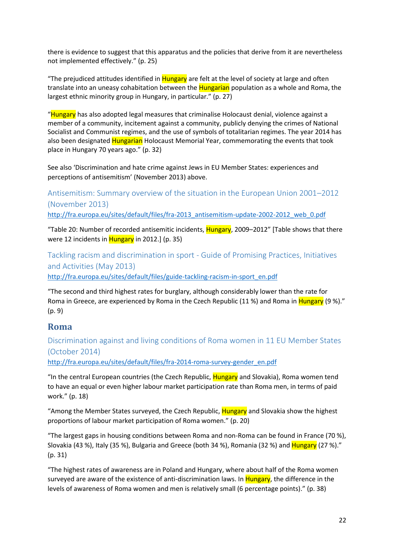there is evidence to suggest that this apparatus and the policies that derive from it are nevertheless not implemented effectively." (p. 25)

"The prejudiced attitudes identified in **Hungary** are felt at the level of society at large and often translate into an uneasy cohabitation between the Hungarian population as a whole and Roma, the largest ethnic minority group in Hungary, in particular." (p. 27)

"Hungary has also adopted legal measures that criminalise Holocaust denial, violence against a member of a community, incitement against a community, publicly denying the crimes of National Socialist and Communist regimes, and the use of symbols of totalitarian regimes. The year 2014 has also been designated Hungarian Holocaust Memorial Year, commemorating the events that took place in Hungary 70 years ago." (p. 32)

See also 'Discrimination and hate crime against Jews in EU Member States: experiences and perceptions of antisemitism' (November 2013) above.

<span id="page-21-0"></span>Antisemitism: Summary overview of the situation in the European Union 2001–2012 (November 2013)

[http://fra.europa.eu/sites/default/files/fra-2013\\_antisemitism-update-2002-2012\\_web\\_0.pdf](http://fra.europa.eu/sites/default/files/fra-2013_antisemitism-update-2002-2012_web_0.pdf)

"Table 20: Number of recorded antisemitic incidents, Hungary, 2009–2012" [Table shows that there were 12 incidents in **Hungary** in 2012.] (p. 35)

<span id="page-21-1"></span>Tackling racism and discrimination in sport - Guide of Promising Practices, Initiatives and Activities (May 2013)

[http://fra.europa.eu/sites/default/files/guide-tackling-racism-in-sport\\_en.pdf](http://fra.europa.eu/sites/default/files/guide-tackling-racism-in-sport_en.pdf)

"The second and third highest rates for burglary, although considerably lower than the rate for Roma in Greece, are experienced by Roma in the Czech Republic (11 %) and Roma in Hungary (9 %)." (p. 9)

# <span id="page-21-2"></span>**Roma**

<span id="page-21-3"></span>Discrimination against and living conditions of Roma women in 11 EU Member States (October 2014)

[http://fra.europa.eu/sites/default/files/fra-2014-roma-survey-gender\\_en.pdf](http://fra.europa.eu/sites/default/files/fra-2014-roma-survey-gender_en.pdf)

"In the central European countries (the Czech Republic, Hungary and Slovakia), Roma women tend to have an equal or even higher labour market participation rate than Roma men, in terms of paid work." (p. 18)

"Among the Member States surveyed, the Czech Republic, Hungary and Slovakia show the highest proportions of labour market participation of Roma women." (p. 20)

"The largest gaps in housing conditions between Roma and non-Roma can be found in France (70 %), Slovakia (43 %), Italy (35 %), Bulgaria and Greece (both 34 %), Romania (32 %) and Hungary (27 %)." (p. 31)

"The highest rates of awareness are in Poland and Hungary, where about half of the Roma women surveyed are aware of the existence of anti-discrimination laws. In Hungary, the difference in the levels of awareness of Roma women and men is relatively small (6 percentage points)." (p. 38)